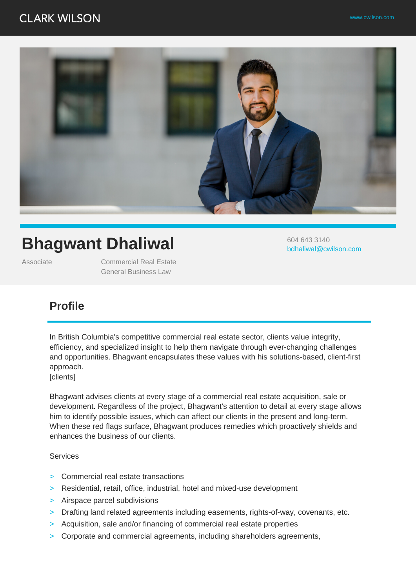## **CLARK WILSON**



# **Bhagwant Dhaliwal**

Associate Commercial Real Estate General Business Law

604 643 3140 bdhaliwal@cwilson.com

### **Profile**

In British Columbia's competitive commercial real estate sector, clients value integrity, efficiency, and specialized insight to help them navigate through ever-changing challenges and opportunities. Bhagwant encapsulates these values with his solutions-based, client-first approach.

[clients]

Bhagwant advises clients at every stage of a commercial real estate acquisition, sale or development. Regardless of the project, Bhagwant's attention to detail at every stage allows him to identify possible issues, which can affect our clients in the present and long-term. When these red flags surface, Bhagwant produces remedies which proactively shields and enhances the business of our clients.

Services

- > Commercial real estate transactions
- > Residential, retail, office, industrial, hotel and mixed-use development
- > Airspace parcel subdivisions
- > Drafting land related agreements including easements, rights-of-way, covenants, etc.
- > Acquisition, sale and/or financing of commercial real estate properties
- > Corporate and commercial agreements, including shareholders agreements,